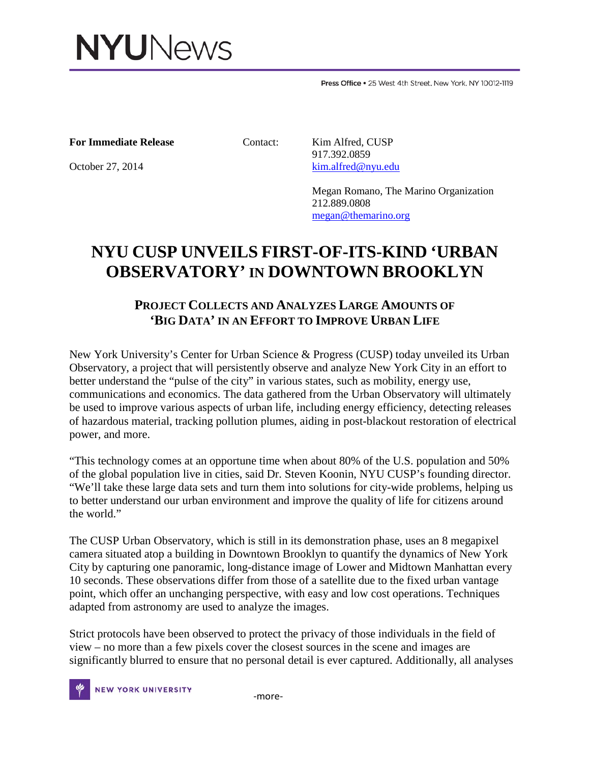

Press Office . 25 West 4th Street. New York. NY 10012-1119

## **For Immediate Release** Contact: Kim Alfred, CUSP

 917.392.0859 October 27, 2014 [kim.alfred@nyu.edu](mailto:kim.alfred@nyu.edu)

> Megan Romano, The Marino Organization 212.889.0808 [megan@themarino.org](mailto:megan@themarino.org)

## **NYU CUSP UNVEILS FIRST-OF-ITS-KIND 'URBAN OBSERVATORY' IN DOWNTOWN BROOKLYN**

## **PROJECT COLLECTS AND ANALYZES LARGE AMOUNTS OF 'BIG DATA' IN AN EFFORT TO IMPROVE URBAN LIFE**

New York University's Center for Urban Science & Progress (CUSP) today unveiled its Urban Observatory, a project that will persistently observe and analyze New York City in an effort to better understand the "pulse of the city" in various states, such as mobility, energy use, communications and economics. The data gathered from the Urban Observatory will ultimately be used to improve various aspects of urban life, including energy efficiency, detecting releases of hazardous material, tracking pollution plumes, aiding in post-blackout restoration of electrical power, and more.

"This technology comes at an opportune time when about 80% of the U.S. population and 50% of the global population live in cities, said Dr. Steven Koonin, NYU CUSP's founding director. "We'll take these large data sets and turn them into solutions for city-wide problems, helping us to better understand our urban environment and improve the quality of life for citizens around the world."

The CUSP Urban Observatory, which is still in its demonstration phase, uses an 8 megapixel camera situated atop a building in Downtown Brooklyn to quantify the dynamics of New York City by capturing one panoramic, long-distance image of Lower and Midtown Manhattan every 10 seconds. These observations differ from those of a satellite due to the fixed urban vantage point, which offer an unchanging perspective, with easy and low cost operations. Techniques adapted from astronomy are used to analyze the images.

Strict protocols have been observed to protect the privacy of those individuals in the field of view – no more than a few pixels cover the closest sources in the scene and images are significantly blurred to ensure that no personal detail is ever captured. Additionally, all analyses

NEW YORK UNIVERSITY FOR THE THOTE-